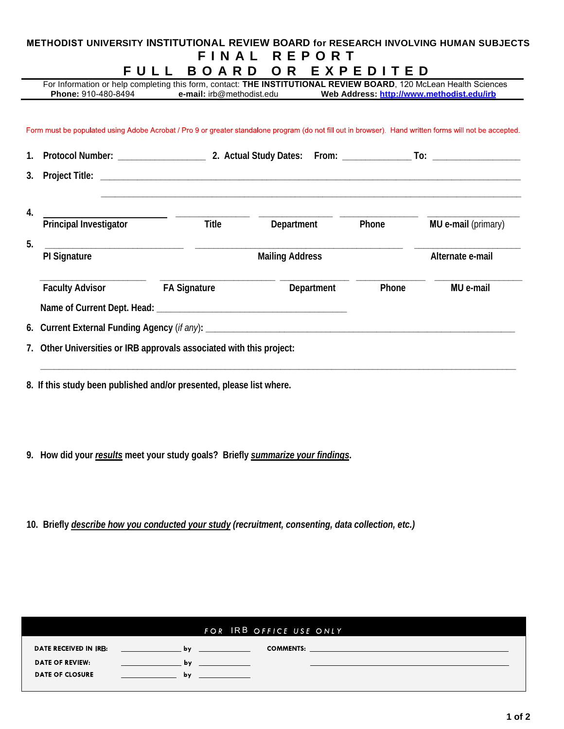## **METHODIST UNIVERSITY INSTITUTIONAL REVIEW BOARD for RESEARCH INVOLVING HUMAN SUBJECTS F I NAL R E P O R T FULL B O ARD O R EXPE D I T E D** For Information or help completing this form, contact: **THE INSTITUTIONAL REVIEW BOARD**, 120 McLean Health Sciences<br>**Phone:** 910-480-8494 **e-mail:** irb@methodist.edu Web Address: http://www.methodist.edu/irb **Phone:** 910-480-8494 **e-mail:** irb@methodist.edu **Web Address: http://www.methodist.edu/irb** Form must be populated using Adobe Acrobat / Pro 9 or greater standalone program (do not fill out in browser). Hand written forms will not be accepted. **1. Protocol Number: \_\_\_\_\_\_\_\_\_\_\_\_\_\_\_\_\_\_\_ 2. Actual Study Dates: From: \_\_\_\_\_\_\_\_\_\_\_\_\_\_\_ To: \_\_\_\_\_\_\_\_\_\_\_\_\_\_\_\_\_\_\_ 3. Project Title: \_\_\_\_\_\_\_\_\_\_\_\_\_\_\_\_\_\_\_\_\_\_\_\_\_\_\_\_\_\_\_\_\_\_\_\_\_\_\_\_\_\_\_\_\_\_\_\_\_\_\_\_\_\_\_\_\_\_\_\_\_\_\_\_\_\_\_\_\_\_\_\_\_\_\_\_\_\_\_\_\_\_\_\_\_\_\_\_\_\_\_ \_\_\_\_\_\_\_\_\_\_\_\_\_\_\_\_\_\_\_\_\_\_\_\_\_\_\_\_\_\_\_\_\_\_\_\_\_\_\_\_\_\_\_\_\_\_\_\_\_\_\_\_\_\_\_\_\_\_\_\_\_\_\_\_\_\_\_\_\_\_\_\_\_\_\_\_\_\_\_\_\_\_\_\_\_\_\_\_\_\_\_ 4. \_\_\_\_\_\_\_\_\_\_\_\_\_\_\_\_ \_\_\_\_\_\_\_\_\_\_\_\_\_\_\_\_ \_\_\_\_\_\_\_\_\_\_\_\_\_\_\_\_\_ \_\_\_\_\_\_\_\_\_\_\_\_\_\_\_\_\_\_\_\_ Principal Investigator Title Department Phone MU e-mail** (primary) **5. \_\_\_\_\_\_\_\_\_\_\_\_\_\_\_\_\_\_\_\_\_\_\_\_\_\_\_\_\_\_ \_\_\_\_\_\_\_\_\_\_\_\_\_\_\_\_\_\_\_\_\_\_\_\_\_\_\_\_\_\_\_\_\_\_\_\_\_\_\_\_\_\_\_\_\_ \_\_\_\_\_\_\_\_\_\_\_\_\_\_\_\_\_\_\_\_\_\_\_ PI Signature Community Community Community Community Community Mailing Address Community Community Alternate e-mail \_\_\_\_\_\_\_\_\_\_\_\_\_\_\_\_\_\_\_\_\_\_\_ \_\_\_\_\_\_\_\_\_\_\_\_\_\_\_\_\_\_\_\_\_\_\_\_\_ \_\_\_\_\_\_\_\_\_\_\_\_\_\_\_ \_\_\_\_\_\_\_\_\_\_\_\_\_\_\_ \_\_\_\_\_\_\_\_\_\_\_\_\_\_\_\_\_\_\_ Faculty Advisor FA Signature Department Phone MU e-mail**  Name of Current Dept. Head: **We are all that the set of Current Dept.** Head: **Next 6. Current External Funding Agency** (*if any*)**: \_\_\_\_\_\_\_\_\_\_\_\_\_\_\_\_\_\_\_\_\_\_\_\_\_\_\_\_\_\_\_\_\_\_\_\_\_\_\_\_\_\_\_\_\_\_\_\_\_\_\_\_\_\_\_\_\_\_\_\_\_\_\_\_\_\_\_**

**\_\_\_\_\_\_\_\_\_\_\_\_\_\_\_\_\_\_\_\_\_\_\_\_\_\_\_\_\_\_\_\_\_\_\_\_\_\_\_\_\_\_\_\_\_\_\_\_\_\_\_\_\_\_\_\_\_\_\_\_\_\_\_\_\_\_\_\_\_\_\_\_\_\_\_\_\_\_\_\_\_\_\_\_\_\_\_\_\_\_\_\_\_\_\_\_\_\_\_\_\_\_\_**

**7. Other Universities or IRB approvals associated with this project:**

**8. If this study been published and/or presented, please list where.**

**9. How did your** *results* **meet your study goals? Briefly** *summarize your findings***.**

**10. Briefly** *describe how you conducted your study (recruitment, consenting, data collection, etc.)*

|                        |    | FOR IRB OFFICE USE ONLY |  |
|------------------------|----|-------------------------|--|
| DATE RECEIVED IN IRB:  | bv | <b>COMMENTS:</b>        |  |
| <b>DATE OF REVIEW:</b> | bv |                         |  |
| <b>DATE OF CLOSURE</b> | bv |                         |  |
|                        |    |                         |  |